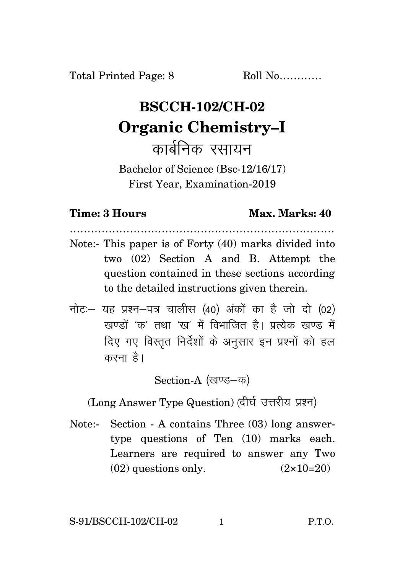## **BSCCH-102/CH-02 Organic Chemistry–I** कार्बनिक रसायन

Bachelor of Science (Bsc-12/16/17) First Year, Examination-2019

## **Time: 3 Hours Max. Marks: 40**

…………………………………………………………………

- Note:- This paper is of Forty (40) marks divided into two (02) Section A and B. Attempt the question contained in these sections according to the detailed instructions given therein.
- नोट: यह प्रश्न-पत्र चालीस (40) अंकों का है जो दो (02)  $\vec{k}$ रवण्डों 'क्व' तथा 'रव' में विभाजित है। पत्थेक रवण्ड में दिए गए विस्तुत निर्देशों के अनुसार इन प्रश्नों को हल करना है।

Section-A (खण्ड-क)

(Long Answer Type Question) (दीर्घ उत्तरीय प्रश्न)

Note:- Section - A contains Three (03) long answertype questions of Ten (10) marks each. Learners are required to answer any Two  $(02)$  questions only.  $(2 \times 10=20)$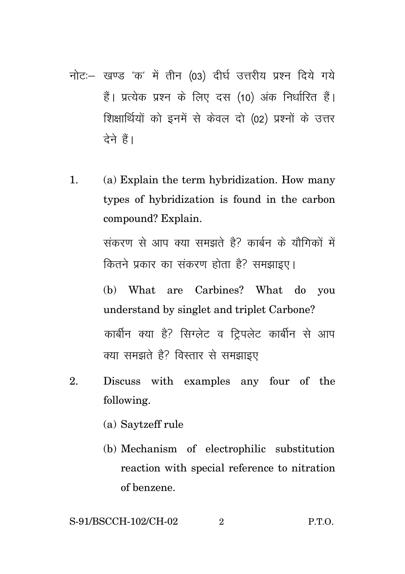- नोट: खण्ड 'क' में तीन (03) दीर्घ उत्तरीय प्रश्न दिये गये हैं। प्रत्येक प्रश्न के लिए दस (10) अंक निर्धारित हैं। शिक्षार्थियों को इनमें से केवल दो (02) प्रश्नों के उत्तर देने हैं।
- 1. (a) Explain the term hybridization. How many types of hybridization is found in the carbon compound? Explain.

संकरण से आप क्या समझते है? कार्बन के यौगिकों में कितने प्रकार का संकरण होता है? समझाइए।

(b) What are Carbines? What do you understand by singlet and triplet Carbone? कार्बीन क्या है? सिग्लेट व ट्रिपलेट कार्बीन से आप क्या समझते है? विस्तार से समझाइए

- 2. Discuss with examples any four of the following.
	- (a) Saytzeff rule
	- (b) Mechanism of electrophilic substitution reaction with special reference to nitration of benzene.

$$
S-91/BSCCH-102/CH-02 \t 2 \t P.T.O.
$$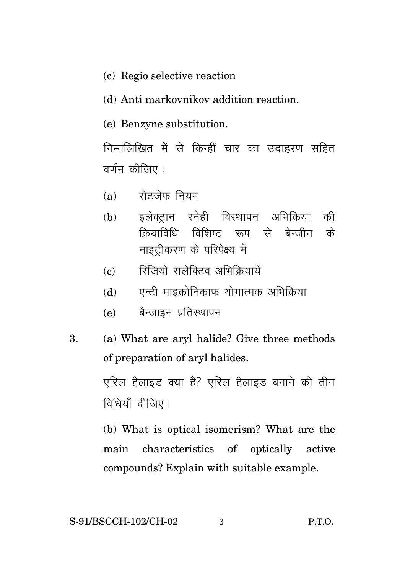- (c) Regio selective reaction
- (d) Anti markovnikov addition reaction.
- (e) Benzyne substitution.

निम्नलिखित में से किन्हीं चार का उदाहरण सहित वर्णन कीजिए :

- सेटजेफ नियम  $(a)$
- इलेक्टान स्नेही विस्थापन अभिक्रिया  $(h)$ की क्रियाविधि विशिष्ट रूप से बेन्जीन के नाइटीकरण के परिपेक्ष्य में
- रित्तियो सलेक्टिव अभिकियायें  $\left( \mathbf{c} \right)$
- एन्टी माइक्रोनिकाफ योगात्मक अभिक्रिया  $(d)$
- बैन्जाइन प्रतिस्थापन  $(e)$
- (a) What are aryl halide? Give three methods  $\mathbf{R}$ of preparation of aryl halides.

एरिल हैलाइड क्या है? एरिल हैलाइड बनाने की तीन विधियाँ दीजिए।

(b) What is optical isomerism? What are the main characteristics of optically active compounds? Explain with suitable example.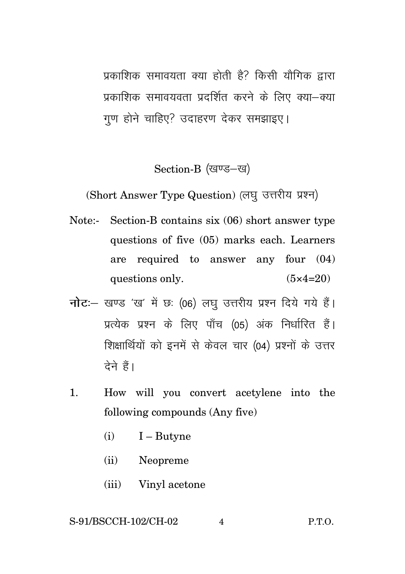प्रकाशिक समावयता क्या होती है? किसी यौगिक द्वारा प्रकाशिक समावयवता प्रदर्शित करने के लिए क्या-क्या गण होने चाहिए? उदाहरण देकर समझाइए।

Section-B (खण्ड-ख)

(Short Answer Type Question) (लघु उत्तरीय प्रश्न)

- Note:- Section-B contains six (06) short answer type questions of five (05) marks each. Learners are required to answer any four (04) questions only.  $(5 \times 4=20)$
- **नोट**: खण्ड 'ख' में छः (06) लघु उत्तरीय प्रश्न दिये गये हैं। प्रत्येक प्रश्न के लिए पाँच (05) अंक निर्धारित हैं। शिक्षार्थियों को इनमें से केवल चार (04) प्रश्नों के उत्तर टेने हैं।
- 1. How will you convert acetylene into the following compounds (Any five)
	- $(i)$  I Butyne
	- (ii) Neopreme
	- (iii) Vinyl acetone

## S-91/BSCCH-102/CH-02 4 P.T.O.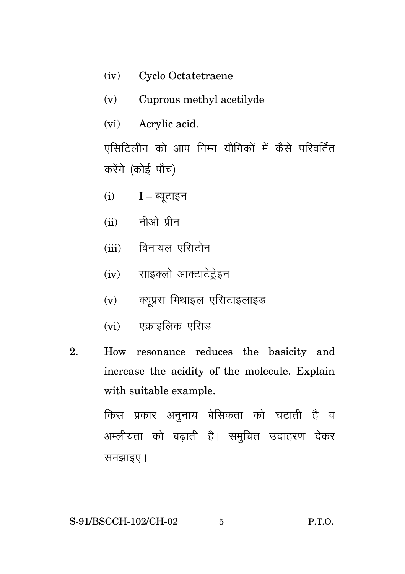- (iv) Cyclo Octatetraene
- Cuprous methyl acetilyde  $(v)$
- $(vi)$ Acrylic acid.

एसिटिलीन को आप निम्न यौगिकों में कैसे परिवर्तित करेंगे (कोई पाँच)

- $(i)$   $I -$  ब्युटाइन
- $(ii)$  नीओ प्रीन
- (iii) विनायल एसिटोन
- (iv) साइक्लो आक्टाटेटेइन
- $(v)$  क्युप्रस मिथाइल एसिटाइलाइड
- $(vi)$  एक्राइलिक एसिड
- $\overline{2}$ . How resonance reduces the basicity and increase the acidity of the molecule. Explain with suitable example.

किस प्रकार अनुनाय बेसिकता को घटाती है व अम्लीयता को बढ़ाती है। समुचित उदाहरण देकर समझाइए।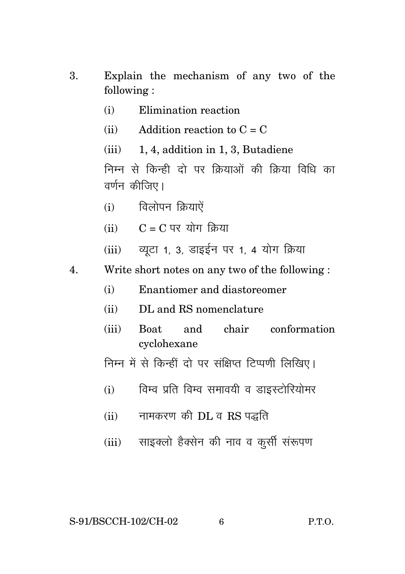- 3. Explain the mechanism of any two of the following :
	- (i) Elimination reaction
	- (ii) Addition reaction to  $C = C$
	- (iii) 1, 4, addition in 1, 3, Butadiene

निम्न से किन्ही दो पर क्रियाओं की क्रिया विधि का वर्णन कीजिए।

- $(i)$  विलोपन क्रियाऐं
- $(iii)$   $C = C$  पर योग किया
- (iii) व्यूटा 1, 3, डाइईन पर 1, 4 योग क्रिया
- 4. Write short notes on any two of the following :
	- (i) Enantiomer and diastoreomer
	- (ii) DL and RS nomenclature
	- (iii) Boat and chair conformation cyclohexane
	- निम्न में से किन्हीं दो पर संक्षिप्त टिप्पणी लिखिए।
	- (i) विम्व प्रति विम्व समावयी व डाइस्टोरियोमर
	- $(ii)$  नामकरण की DL व RS पद्धति
	- (iii) साइक्लो हैक्सेन की नाव व कूर्सी संरूपण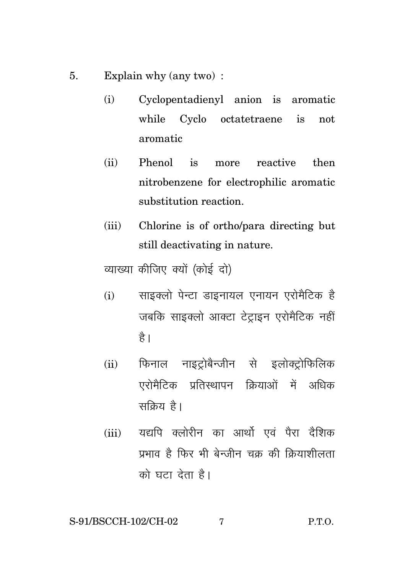- Explain why (any two): 5.
	- Cyclopentadienyl anion is aromatic  $(i)$ while Cyclo octatetraene is not aromatic
	- $(ii)$ Phenol is more reactive then nitrobenzene for electrophilic aromatic substitution reaction
	- Chlorine is of ortho/para directing but  $(iii)$ still deactivating in nature.

व्याख्या कीजिए क्यों (कोई दो)

- साइक्लो पेन्टा डाइनायल एनायन एरोमैटिक है  $(i)$ जबकि साइक्लो आक्टा टेटाइन एरोमैटिक नहीं है।
- फिनाल नाइटोबैन्जीन से इलोक्टोफिलिक  $(ii)$ एरोमैटिक प्रतिस्थापन क्रियाओं में अधिक सकिय है।
- (iii) यद्यपि क्लोरीन का आर्थो एवं पैरा दैशिक प्रभाव है फिर भी बेन्ज़ीन चक की कियाशीलता को घटा देता है।

S-91/BSCCH-102/CH-02  $\overline{7}$  $P.T.0.$